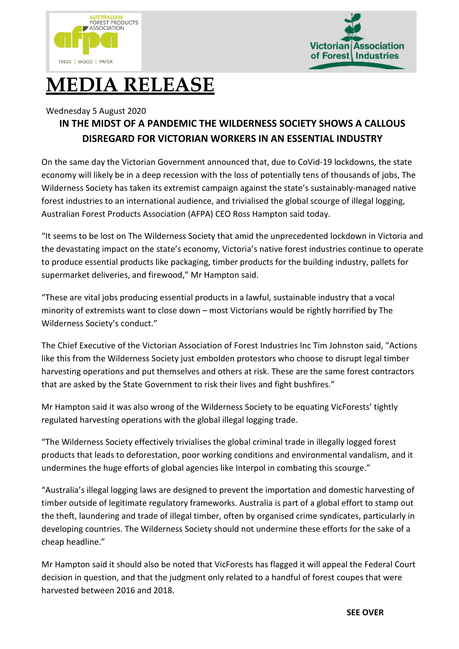



## **MEDIA RELEASE**

## Wednesday 5 August 2020

## **IN THE MIDST OF A PANDEMIC THE WILDERNESS SOCIETY SHOWS A CALLOUS DISREGARD FOR VICTORIAN WORKERS IN AN ESSENTIAL INDUSTRY**

On the same day the Victorian Government announced that, due to CoVid-19 lockdowns, the state economy will likely be in a deep recession with the loss of potentially tens of thousands of jobs, The Wilderness Society has taken its extremist campaign against the state's sustainably-managed native forest industries to an international audience, and trivialised the global scourge of illegal logging, Australian Forest Products Association (AFPA) CEO Ross Hampton said today.

"It seems to be lost on The Wilderness Society that amid the unprecedented lockdown in Victoria and the devastating impact on the state's economy, Victoria's native forest industries continue to operate to produce essential products like packaging, timber products for the building industry, pallets for supermarket deliveries, and firewood," Mr Hampton said.

"These are vital jobs producing essential products in a lawful, sustainable industry that a vocal minority of extremists want to close down – most Victorians would be rightly horrified by The Wilderness Society's conduct."

The Chief Executive of the Victorian Association of Forest Industries Inc Tim Johnston said, "Actions like this from the Wilderness Society just embolden protestors who choose to disrupt legal timber harvesting operations and put themselves and others at risk. These are the same forest contractors that are asked by the State Government to risk their lives and fight bushfires."

Mr Hampton said it was also wrong of the Wilderness Society to be equating VicForests' tightly regulated harvesting operations with the global illegal logging trade.

"The Wilderness Society effectively trivialises the global criminal trade in illegally logged forest products that leads to deforestation, poor working conditions and environmental vandalism, and it undermines the huge efforts of global agencies like Interpol in combating this scourge."

"Australia's illegal logging laws are designed to prevent the importation and domestic harvesting of timber outside of legitimate regulatory frameworks. Australia is part of a global effort to stamp out the theft, laundering and trade of illegal timber, often by organised crime syndicates, particularly in developing countries. The Wilderness Society should not undermine these efforts for the sake of a cheap headline."

Mr Hampton said it should also be noted that VicForests has flagged it will appeal the Federal Court decision in question, and that the judgment only related to a handful of forest coupes that were harvested between 2016 and 2018.